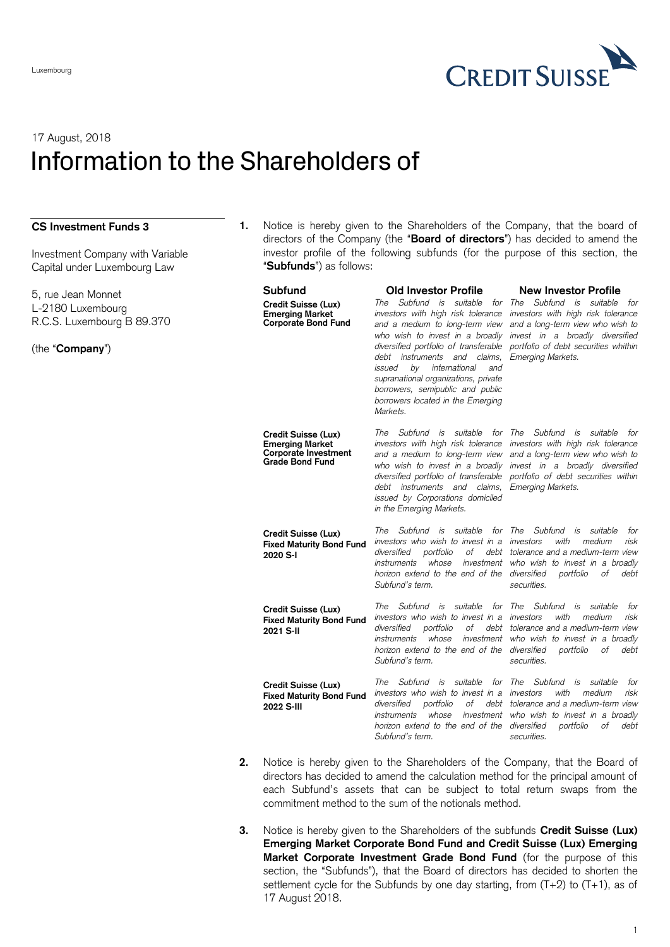

## 17 August, 2018 Information to the Shareholders of

## **CS Investment Funds 3**

Investment Company with Variable Capital under Luxembourg Law

5, rue Jean Monnet L-2180 Luxembourg R.C.S. Luxembourg B 89.370

(the "**Company**")

**1.** Notice is hereby given to the Shareholders of the Company, that the board of directors of the Company (the "**Board of directors**") has decided to amend the investor profile of the following subfunds (for the purpose of this section, the "**Subfunds**") as follows:

| Subfund                                                                                         | Old Investor Profile                                                                                                                                                                                                                                                                                                                                                                                | <b>New Investor Profile</b>                                                                                                                                                                                         |
|-------------------------------------------------------------------------------------------------|-----------------------------------------------------------------------------------------------------------------------------------------------------------------------------------------------------------------------------------------------------------------------------------------------------------------------------------------------------------------------------------------------------|---------------------------------------------------------------------------------------------------------------------------------------------------------------------------------------------------------------------|
| Credit Suisse (Lux)<br><b>Emerging Market</b><br><b>Corporate Bond Fund</b>                     | Subfund is<br>suitable<br>for<br>The<br>investors with high risk tolerance<br>and a medium to long-term view<br>who wish to invest in a broadly<br>diversified portfolio of transferable<br>debt<br>instruments<br>and claims.<br>issued<br>by<br>international<br>and<br>supranational organizations, private<br>borrowers, semipublic and public<br>borrowers located in the Emerging<br>Markets. | Subfund is<br>The<br>suitable<br>for<br>investors with high risk tolerance<br>and a long-term view who wish to<br>invest in a broadly diversified<br>portfolio of debt securities whithin<br>Emerging Markets.      |
| Credit Suisse (Lux)<br><b>Emerging Market</b><br>Corporate Investment<br><b>Grade Bond Fund</b> | The Subfund is suitable<br>for<br>investors with high risk tolerance<br>and a medium to long-term view<br>who wish to invest in a broadly<br>diversified portfolio of transferable<br>debt instruments and claims.<br>issued by Corporations domiciled<br>in the Emerging Markets.                                                                                                                  | The<br>Subfund is<br>suitable<br>for<br>investors with high risk tolerance<br>and a long-term view who wish to<br>invest in a broadly diversified<br>portfolio of debt securities within<br>Emerging Markets.       |
| Credit Suisse (Lux)<br><b>Fixed Maturity Bond Fund</b><br>2020 S-I                              | Subfund is<br>for<br>The<br>suitable<br>investors who wish to invest in a<br>diversified<br>portfolio<br>οf<br>whose<br>investment<br>instruments<br>horizon extend to the end of the<br>Subfund's term.                                                                                                                                                                                            | Subfund<br>The<br>suitable<br>is<br>for<br>with<br>investors<br>medium<br>risk<br>debt tolerance and a medium-term view<br>who wish to invest in a broadly<br>diversified<br>portfolio<br>οf<br>debt<br>securities. |
| Credit Suisse (Lux)<br><b>Fixed Maturity Bond Fund</b><br>2021 S-II                             | The<br>Subfund is<br>suitable<br>investors who wish to invest in a investors<br>οf<br>diversified<br>portfolio<br>whose<br>instruments<br>horizon extend to the end of the diversified<br>Subfund's term.                                                                                                                                                                                           | for The<br>Subfund<br>suitable<br>is<br>for<br>with<br>medium<br>risk<br>debt tolerance and a medium-term view<br>investment who wish to invest in a broadly<br>οf<br>debt<br>portfolio<br>securities.              |
| Credit Suisse (Lux)<br><b>Fixed Maturity Bond Fund</b><br>2022 S-III                            | suitable<br>for<br>The<br>Subfund is<br>investors who wish to invest in a investors<br>οf<br>diversified<br>portfolio<br><i>instruments</i><br>whose<br>horizon extend to the end of the diversified<br>Subfund's term.                                                                                                                                                                             | The<br>Subfund<br>suitable<br>is<br>for<br>with<br>medium<br>risk<br>debt tolerance and a medium-term view<br>investment who wish to invest in a broadly<br>portfolio<br>οf<br>debt<br>securities.                  |

- **2.** Notice is hereby given to the Shareholders of the Company, that the Board of directors has decided to amend the calculation method for the principal amount of each Subfund's assets that can be subject to total return swaps from the commitment method to the sum of the notionals method.
- **3.** Notice is hereby given to the Shareholders of the subfunds **Credit Suisse (Lux) Emerging Market Corporate Bond Fund and Credit Suisse (Lux) Emerging Market Corporate Investment Grade Bond Fund** (for the purpose of this section, the "Subfunds"), that the Board of directors has decided to shorten the settlement cycle for the Subfunds by one day starting, from  $(T+2)$  to  $(T+1)$ , as of 17 August 2018.